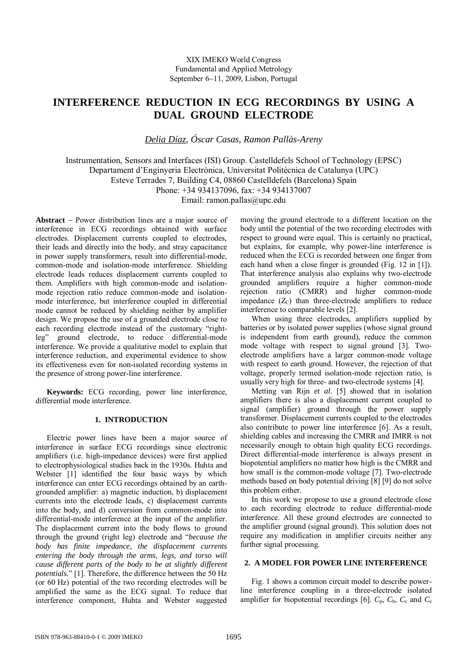# **INTERFERENCE REDUCTION IN ECG RECORDINGS BY USING A DUAL GROUND ELECTRODE**

*Delia Díaz, Óscar Casas, Ramon Pallàs-Areny* 

Instrumentation, Sensors and Interfaces (ISI) Group. Castelldefels School of Technology (EPSC) Departament d'Enginyeria Electrònica, Universitat Politècnica de Catalunya (UPC) Esteve Terrades 7, Building C4, 08860 Castelldefels (Barcelona) Spain Phone: +34 934137096, fax: +34 934137007 Email: ramon.pallas@upc.edu

**Abstract** − Power distribution lines are a major source of interference in ECG recordings obtained with surface electrodes. Displacement currents coupled to electrodes, their leads and directly into the body, and stray capacitance in power supply transformers, result into differential-mode, common-mode and isolation-mode interference. Shielding electrode leads reduces displacement currents coupled to them. Amplifiers with high common-mode and isolationmode rejection ratio reduce common-mode and isolationmode interference, but interference coupled in differential mode cannot be reduced by shielding neither by amplifier design. We propose the use of a grounded electrode close to each recording electrode instead of the customary "rightleg" ground electrode, to reduce differential-mode interference. We provide a qualitative model to explain that interference reduction, and experimental evidence to show its effectiveness even for non-isolated recording systems in the presence of strong power-line interference.

**Keywords:** ECG recording, power line interference, differential mode interference.

# **1. INTRODUCTION**

Electric power lines have been a major source of interference in surface ECG recordings since electronic amplifiers (i.e. high-impedance devices) were first applied to electrophysiological studies back in the 1930s. Huhta and Webster [1] identified the four basic ways by which interference can enter ECG recordings obtained by an earthgrounded amplifier: a) magnetic induction, b) displacement currents into the electrode leads, c) displacement currents into the body, and d) conversion from common-mode into differential-mode interference at the input of the amplifier. The displacement current into the body flows to ground through the ground (right leg) electrode and "*because the body has finite impedance, the displacement currents entering the body through the arms, legs, and torso will cause different parts of the body to be at slightly different potentials.*" [1]. Therefore, the difference between the 50 Hz (or 60 Hz) potential of the two recording electrodes will be amplified the same as the ECG signal. To reduce that interference component, Huhta and Webster suggested

moving the ground electrode to a different location on the body until the potential of the two recording electrodes with respect to ground were equal. This is certainly no practical, but explains, for example, why power-line interference is reduced when the ECG is recorded between one finger from each hand when a close finger is grounded (Fig. 12 in [1]). That interference analysis also explains why two-electrode grounded amplifiers require a higher common-mode rejection ratio (CMRR) and higher common-mode impedance  $(Z_C)$  than three-electrode amplifiers to reduce interference to comparable levels [2].

When using three electrodes, amplifiers supplied by batteries or by isolated power supplies (whose signal ground is independent from earth ground), reduce the common mode voltage with respect to signal ground [3]. Twoelectrode amplifiers have a larger common-mode voltage with respect to earth ground. However, the rejection of that voltage, properly termed isolation-mode rejection ratio, is usually very high for three- and two-electrode systems [4].

Metting van Rijn *et al*. [5] showed that in isolation amplifiers there is also a displacement current coupled to signal (amplifier) ground through the power supply transformer. Displacement currents coupled to the electrodes also contribute to power line interference [6]. As a result, shielding cables and increasing the CMRR and IMRR is not necessarily enough to obtain high quality ECG recordings. Direct differential-mode interference is always present in biopotential amplifiers no matter how high is the CMRR and how small is the common-mode voltage [7]. Two-electrode methods based on body potential driving [8] [9] do not solve this problem either.

In this work we propose to use a ground electrode close to each recording electrode to reduce differential-mode interference. All these ground electrodes are connected to the amplifier ground (signal ground). This solution does not require any modification in amplifier circuits neither any further signal processing.

# **2. A MODEL FOR POWER LINE INTERFERENCE**

Fig. 1 shows a common circuit model to describe powerline interference coupling in a three-electrode isolated amplifier for biopotential recordings [6].  $C_p$ ,  $C_b$ ,  $C_c$  and  $C_e$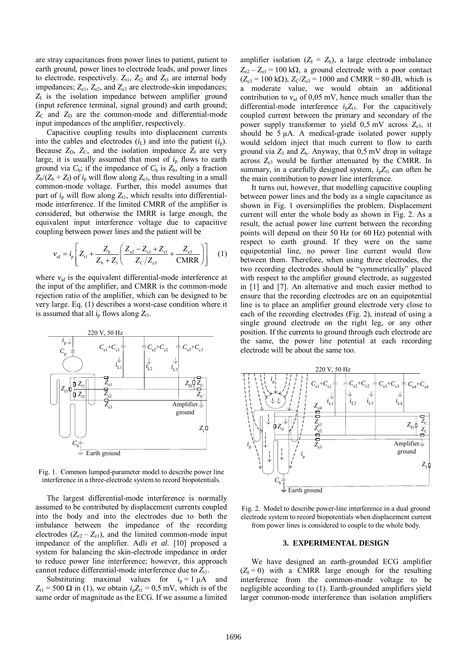are stray capacitances from power lines to patient, patient to earth ground, power lines to electrode leads, and power lines to electrode, respectively.  $Z_{t1}$ ,  $Z_{t2}$  and  $Z_{t3}$  are internal body impedances;  $Z_{e1}$ ,  $Z_{e2}$ , and  $Z_{e3}$  are electrode-skin impedances;  $Z<sub>I</sub>$  is the isolation impedance between amplifier ground (input reference terminal, signal ground) and earth ground;  $Z_{\rm C}$  and  $Z_{\rm D}$  are the common-mode and differential-mode input impedances of the amplifier, respectively.

Capacitive coupling results into displacement currents into the cables and electrodes  $(i_L)$  and into the patient  $(i_p)$ . Because  $Z<sub>D</sub>$ ,  $Z<sub>C</sub>$ , and the isolation impedance  $Z<sub>I</sub>$  are very large, it is usually assumed that most of  $i<sub>p</sub>$  flows to earth ground via  $C_b$ ; if the impedance of  $C_b$  is  $Z_b$ , only a fraction  $Z_b/(Z_b + Z_l)$  of  $i_p$  will flow along  $Z_{e3}$ , thus resulting in a small common-mode voltage. Further, this model assumes that part of  $i_p$  will flow along  $Z_{t1}$ , which results into differentialmode interference. If the limited CMRR of the amplifier is considered, but otherwise the IMRR is large enough, the equivalent input interference voltage due to capacitive coupling between power lines and the patient will be

$$
v_{\rm id} = i_{\rm p} \left[ Z_{\rm t1} + \frac{Z_{\rm b}}{Z_{\rm b} + Z_{\rm I}} \left( \frac{Z_{\rm e2} - Z_{\rm e1} + Z_{\rm t1}}{Z_{\rm c}/Z_{\rm e3}} + \frac{Z_{\rm e3}}{\rm CMRR} \right) \right] \tag{1}
$$

where  $v_{id}$  is the equivalent differential-mode interference at the input of the amplifier, and CMRR is the common-mode rejection ratio of the amplifier, which can be designed to be very large. Eq. (1) describes a worst-case condition where it is assumed that all  $i<sub>p</sub>$  flows along  $Z_{t1}$ .



Fig. 1. Common lumped-parameter model to describe power line interference in a three-electrode system to record biopotentials.

The largest differential-mode interference is normally assumed to be contributed by displacement currents coupled into the body and into the electrodes due to both the imbalance between the impedance of the recording electrodes  $(Z_{e2} - Z_{e1})$ , and the limited common-mode input impedance of the amplifier. Adli *et al.* [10] proposed a system for balancing the skin-electrode impedance in order to reduce power line interference; however, this approach cannot reduce differential-mode interference due to  $Z_{t1}$ .

Substituting maximal values for  $i_p = 1 \mu A$  and  $Z_{t1} = 500 \Omega$  in (1), we obtain  $i<sub>p</sub>Z_{t1} = 0.5$  mV, which is of the same order of magnitude as the ECG. If we assume a limited

amplifier isolation  $(Z_1 = Z_b)$ , a large electrode imbalance  $Z_{e2} - Z_{e1} = 100 \text{ k}\Omega$ , a ground electrode with a poor contact  $(Z_{e3} = 100 \text{ k}\Omega)$ ,  $Z_{C}/Z_{e3} = 1000$  and CMRR = 80 dB, which is a moderate value, we would obtain an additional contribution to  $v_{id}$  of 0,05 mV, hence much smaller than the differential-mode interference  $i<sub>p</sub>Z<sub>t1</sub>$ . For the capacitively coupled current between the primary and secondary of the power supply transformer to yield 0,5 mV across *Z*e3, it should be  $5 \mu A$ . A medical-grade isolated power supply would seldom inject that much current to flow to earth ground via  $Z_3$  and  $Z_b$ . Anyway, that  $0.5$  mV drop in voltage across *Z*e3 would be further attenuated by the CMRR. In summary, in a carefully designed system,  $i<sub>p</sub>Z<sub>t1</sub>$  can often be the main contribution to power line interference.

It turns out, however, that modelling capacitive coupling between power lines and the body as a single capacitance as shown in Fig. 1 oversimplifies the problem. Displacement current will enter the whole body as shown in Fig. 2. As a result, the actual power line current between the recording points will depend on their 50 Hz (or 60 Hz) potential with respect to earth ground. If they were on the same equipotential line, no power line current would flow between them. Therefore, when using three electrodes, the two recording electrodes should be "symmetrically" placed with respect to the amplifier ground electrode, as suggested in [1] and [7]. An alternative and much easier method to ensure that the recording electrodes are on an equipotential line is to place an amplifier ground electrode very close to each of the recording electrodes (Fig. 2), instead of using a single ground electrode on the right leg, or any other position. If the currents to ground through each electrode are the same, the power line potential at each recording electrode will be about the same too.



Fig. 2. Model to describe power-line interference in a dual ground electrode system to record biopotentials when displacement current from power lines is considered to couple to the whole body.

## **3. EXPERIMENTAL DESIGN**

We have designed an earth-grounded ECG amplifier  $(Z_1 = 0)$  with a CMRR large enough for the resulting interference from the common-mode voltage to be negligible according to (1). Earth-grounded amplifiers yield larger common-mode interference than isolation amplifiers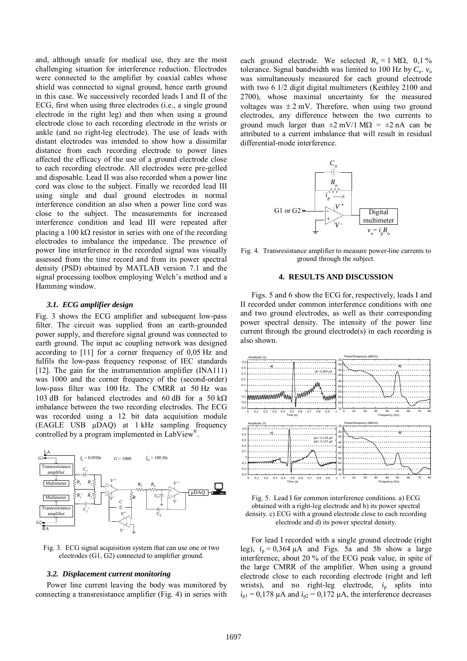and, although unsafe for medical use, they are the most challenging situation for interference reduction. Electrodes were connected to the amplifier by coaxial cables whose shield was connected to signal ground, hence earth ground in this case. We successively recorded leads I and II of the ECG, first when using three electrodes (i.e., a single ground electrode in the right leg) and then when using a ground electrode close to each recording electrode in the wrists or ankle (and no right-leg electrode). The use of leads with distant electrodes was intended to show how a dissimilar distance from each recording electrode to power lines affected the efficacy of the use of a ground electrode close to each recording electrode. All electrodes were pre-gelled and disposable. Lead II was also recorded when a power line cord was close to the subject. Finally we recorded lead III using single and dual ground electrodes in normal interference condition an also when a power line cord was close to the subject. The measurements for increased interference condition and lead III were repeated after placing a 100 kΩ resistor in series with one of the recording electrodes to imbalance the impedance. The presence of power line interference in the recorded signal was visually assessed from the time record and from its power spectral density (PSD) obtained by MATLAB version 7.1 and the signal processing toolbox employing Welch's method and a Hamming window.

# *3.1. ECG amplifier design*

Fig. 3 shows the ECG amplifier and subsequent low-pass filter. The circuit was supplied from an earth-grounded power supply, and therefore signal ground was connected to earth ground. The input ac coupling network was designed according to [11] for a corner frequency of 0,05 Hz and fulfils the low-pass frequency response of IEC standards [12]. The gain for the instrumentation amplifier (INA111) was 1000 and the corner frequency of the (second-order) low-pass filter was 100 Hz. The CMRR at 50 Hz was 103 dB for balanced electrodes and 60 dB for a 50 kΩ imbalance between the two recording electrodes. The ECG was recorded using a 12 bit data acquisition module (EAGLE USB µDAQ) at 1 kHz sampling frequency controlled by a program implemented in LabView®.



Fig. 3. ECG signal acquisition system that can use one or two electrodes (G1, G2) connected to amplifier ground.

#### *3.2. Displacement current monitoring*

Power line current leaving the body was monitored by connecting a transresistance amplifier (Fig. 4) in series with each ground electrode. We selected  $R_0 = 1$  M $\Omega$ , 0,1 % tolerance. Signal bandwidth was limited to 100 Hz by  $C_0$ .  $v_0$ was simultaneously measured for each ground electrode with two 6 1/2 digit digital multimeters (Keithley 2100 and 2700), whose maximal uncertainty for the measured voltages was  $\pm 2$  mV. Therefore, when using two ground electrodes, any difference between the two currents to ground much larger than  $\pm 2$  mV/1 M $\Omega$  =  $\pm 2$  nA can be attributed to a current imbalance that will result in residual differential-mode interference.



Fig. 4. Transresistance amplifier to measure power-line currents to ground through the subject.

# **4. RESULTS AND DISCUSSION**

Figs. 5 and 6 show the ECG for, respectively, leads I and II recorded under common interference conditions with one and two ground electrodes, as well as their corresponding power spectral density. The intensity of the power line current through the ground electrode(s) in each recording is also shown.





For lead I recorded with a single ground electrode (right leg),  $i_p = 0.364 \mu A$  and Figs. 5a and 5b show a large interference, about 20 % of the ECG peak value, in spite of the large CMRR of the amplifier. When using a ground electrode close to each recording electrode (right and left wrists), and no right-leg electrode,  $i_p$  splits into  $i_{p1} = 0.178 \mu A$  and  $i_{p2} = 0.172 \mu A$ , the interference decreases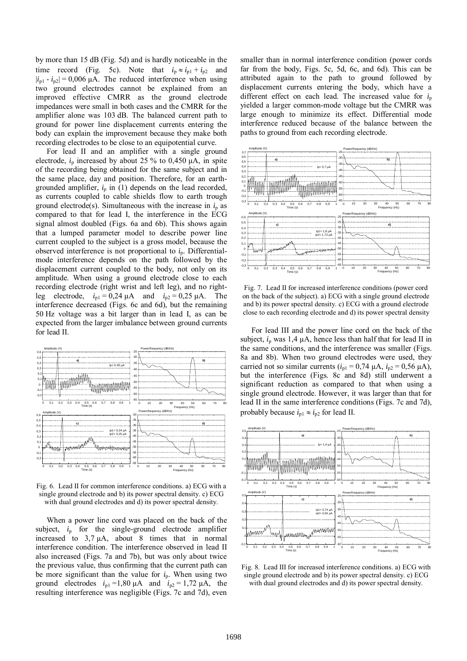by more than 15 dB (Fig. 5d) and is hardly noticeable in the time record (Fig. 5c). Note that  $i_p \approx i_{p1} + i_{p2}$  and  $|i_{p1} - i_{p2}| = 0,006 \mu\text{A}$ . The reduced interference when using two ground electrodes cannot be explained from an improved effective CMRR as the ground electrode impedances were small in both cases and the CMRR for the amplifier alone was 103 dB. The balanced current path to ground for power line displacement currents entering the body can explain the improvement because they make both recording electrodes to be close to an equipotential curve.

For lead II and an amplifier with a single ground electrode,  $i_p$  increased by about 25 % to 0,450  $\mu$ A, in spite of the recording being obtained for the same subject and in the same place, day and position. Therefore, for an earthgrounded amplifier,  $i_p$  in (1) depends on the lead recorded, as currents coupled to cable shields flow to earth trough ground electrode(s). Simultaneous with the increase in  $i<sub>p</sub>$  as compared to that for lead I, the interference in the ECG signal almost doubled (Figs. 6a and 6b). This shows again that a lumped parameter model to describe power line current coupled to the subject is a gross model, because the observed interference is not proportional to  $i_p$ . Differentialmode interference depends on the path followed by the displacement current coupled to the body, not only on its amplitude. When using a ground electrode close to each recording electrode (right wrist and left leg), and no rightleg electrode,  $i_{p1} = 0.24 \, \mu A$  and  $i_{p2} = 0.25 \, \mu A$ . The interference decreased (Figs. 6c and 6d), but the remaining 50 Hz voltage was a bit larger than in lead I, as can be expected from the larger imbalance between ground currents for lead II.



Fig. 6. Lead II for common interference conditions. a) ECG with a single ground electrode and b) its power spectral density. c) ECG with dual ground electrodes and d) its power spectral density.

When a power line cord was placed on the back of the subject,  $i_p$  for the single-ground electrode amplifier increased to 3,7 µA, about 8 times that in normal interference condition. The interference observed in lead II also increased (Figs. 7a and 7b), but was only about twice the previous value, thus confirming that the current path can be more significant than the value for  $i_p$ . When using two ground electrodes  $i_{p1} = 1,80 \mu A$  and  $i_{p2} = 1,72 \mu A$ , the resulting interference was negligible (Figs. 7c and 7d), even

smaller than in normal interference condition (power cords far from the body, Figs. 5c, 5d, 6c, and 6d). This can be attributed again to the path to ground followed by displacement currents entering the body, which have a different effect on each lead. The increased value for  $i<sub>p</sub>$ yielded a larger common-mode voltage but the CMRR was large enough to minimize its effect. Differential mode interference reduced because of the balance between the paths to ground from each recording electrode.



Fig. 7. Lead II for increased interference conditions (power cord on the back of the subject). a) ECG with a single ground electrode and b) its power spectral density. c) ECG with a ground electrode close to each recording electrode and d) its power spectral density

For lead III and the power line cord on the back of the subject,  $i_p$  was 1,4  $\mu$ A, hence less than half that for lead II in the same conditions, and the interference was smaller (Figs. 8a and 8b). When two ground electrodes were used, they carried not so similar currents  $(i<sub>p1</sub> = 0.74 \mu A, i<sub>p2</sub> = 0.56 \mu A)$ , but the interference (Figs. 8c and 8d) still underwent a significant reduction as compared to that when using a single ground electrode. However, it was larger than that for lead II in the same interference conditions (Figs. 7c and 7d), probably because  $i_{p1} \approx i_{p2}$  for lead II.



Fig. 8. Lead III for increased interference conditions. a) ECG with single ground electrode and b) its power spectral density. c) ECG with dual ground electrodes and d) its power spectral density.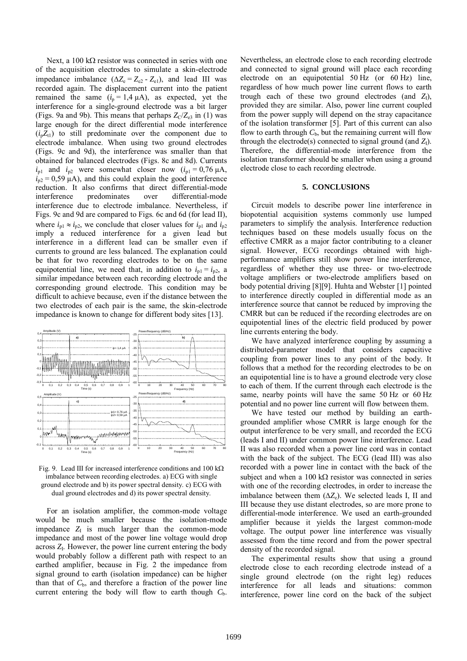Next, a 100 kΩ resistor was connected in series with one of the acquisition electrodes to simulate a skin-electrode impedance imbalance  $(\Delta Z_e = Z_{e2} - Z_{e1})$ , and lead III was recorded again. The displacement current into the patient remained the same  $(i_p = 1.4 \mu A)$ , as expected, yet the interference for a single-ground electrode was a bit larger (Figs. 9a and 9b). This means that perhaps  $Z_C/Z_{e3}$  in (1) was large enough for the direct differential mode interference  $(i<sub>p</sub>Z<sub>t1</sub>)$  to still predominate over the component due to electrode imbalance. When using two ground electrodes (Figs. 9c and 9d), the interference was smaller than that obtained for balanced electrodes (Figs. 8c and 8d). Currents  $i_{p1}$  and  $i_{p2}$  were somewhat closer now  $(i_{p1} = 0.76 \mu A,$  $i_{p2}$  = 0,59  $\mu$ A), and this could explain the good interference reduction. It also confirms that direct differential-mode interference predominates over differential-mode interference due to electrode imbalance. Nevertheless, if Figs. 9c and 9d are compared to Figs. 6c and 6d (for lead II), where  $i_{p1} \approx i_{p2}$ , we conclude that closer values for  $i_{p1}$  and  $i_{p2}$ imply a reduced interference for a given lead but interference in a different lead can be smaller even if currents to ground are less balanced. The explanation could be that for two recording electrodes to be on the same equipotential line, we need that, in addition to  $i_{p1} = i_{p2}$ , a similar impedance between each recording electrode and the corresponding ground electrode. This condition may be difficult to achieve because, even if the distance between the two electrodes of each pair is the same, the skin-electrode impedance is known to change for different body sites [13].



Fig. 9. Lead III for increased interference conditions and 100 kΩ imbalance between recording electrodes. a) ECG with single ground electrode and b) its power spectral density. c) ECG with dual ground electrodes and d) its power spectral density.

For an isolation amplifier, the common-mode voltage would be much smaller because the isolation-mode impedance  $Z_1$  is much larger than the common-mode impedance and most of the power line voltage would drop across  $Z<sub>I</sub>$ . However, the power line current entering the body would probably follow a different path with respect to an earthed amplifier, because in Fig. 2 the impedance from signal ground to earth (isolation impedance) can be higher than that of  $C_{b}$ , and therefore a fraction of the power line current entering the body will flow to earth though  $C<sub>b</sub>$ .

Nevertheless, an electrode close to each recording electrode and connected to signal ground will place each recording electrode on an equipotential 50 Hz (or 60 Hz) line, regardless of how much power line current flows to earth trough each of these two ground electrodes (and  $Z_1$ ), provided they are similar. Also, power line current coupled from the power supply will depend on the stray capacitance of the isolation transformer [5]. Part of this current can also flow to earth through  $C<sub>b</sub>$ , but the remaining current will flow through the electrode(s) connected to signal ground (and *Z*<sub>I</sub>). Therefore, the differential-mode interference from the isolation transformer should be smaller when using a ground electrode close to each recording electrode.

## **5. CONCLUSIONS**

Circuit models to describe power line interference in biopotential acquisition systems commonly use lumped parameters to simplify the analysis. Interference reduction techniques based on these models usually focus on the effective CMRR as a major factor contributing to a cleaner signal. However, ECG recordings obtained with highperformance amplifiers still show power line interference, regardless of whether they use three- or two-electrode voltage amplifiers or two-electrode amplifiers based on body potential driving [8][9]. Huhta and Webster [1] pointed to interference directly coupled in differential mode as an interference source that cannot be reduced by improving the CMRR but can be reduced if the recording electrodes are on equipotential lines of the electric field produced by power line currents entering the body.

We have analyzed interference coupling by assuming a distributed-parameter model that considers capacitive coupling from power lines to any point of the body. It follows that a method for the recording electrodes to be on an equipotential line is to have a ground electrode very close to each of them. If the current through each electrode is the same, nearby points will have the same 50 Hz or 60 Hz potential and no power line current will flow between them.

We have tested our method by building an earthgrounded amplifier whose CMRR is large enough for the output interference to be very small, and recorded the ECG (leads I and II) under common power line interference. Lead II was also recorded when a power line cord was in contact with the back of the subject. The ECG (lead III) was also recorded with a power line in contact with the back of the subject and when a  $100 \text{ k}\Omega$  resistor was connected in series with one of the recording electrodes, in order to increase the imbalance between them  $(\Delta Z_e)$ . We selected leads I, II and III because they use distant electrodes, so are more prone to differential-mode interference. We used an earth-grounded amplifier because it yields the largest common-mode voltage. The output power line interference was visually assessed from the time record and from the power spectral density of the recorded signal.

The experimental results show that using a ground electrode close to each recording electrode instead of a single ground electrode (on the right leg) reduces interference for all leads and situations: common interference, power line cord on the back of the subject